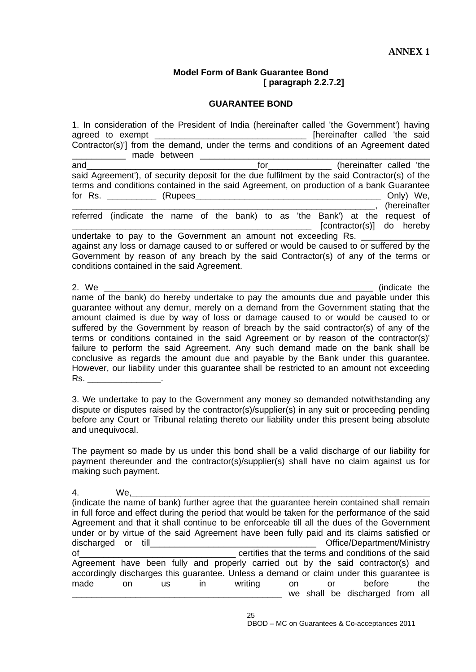## **Model Form of Bank Guarantee Bond [ paragraph 2.2.7.2]**

## **GUARANTEE BOND**

1. In consideration of the President of India (hereinafter called 'the Government') having agreed to exempt \_\_\_\_\_\_\_\_\_\_\_\_\_\_\_\_\_\_\_\_\_\_\_\_\_\_\_\_\_\_\_\_\_\_\_ [hereinafter called 'the said Contractor(s)'] from the demand, under the terms and conditions of an Agreement dated made between **made** and the manual and and the contract of the contract of the contract of the contract of the called 'the and the contract of the contract of the contract of the contract of the contract of the contract of the contract of the contract of th said Agreement'), of security deposit for the due fulfilment by the said Contractor(s) of the terms and conditions contained in the said Agreement, on production of a bank Guarantee for Rs. \_\_\_\_\_\_\_\_\_\_ (Rupees\_\_\_\_\_\_\_\_\_\_\_\_\_\_\_\_\_\_\_\_\_\_\_\_\_\_\_\_\_\_\_\_\_\_\_\_\_\_ Only) We, \_\_\_\_\_\_\_\_\_\_\_\_\_\_\_\_\_\_\_\_\_\_\_\_\_\_\_\_\_\_\_\_\_\_\_\_\_\_\_\_\_\_\_\_\_\_\_\_\_\_\_\_\_\_\_\_\_\_\_\_\_\_, (hereinafter referred (indicate the name of the bank) to as 'the Bank') at the request of [contractor(s)] do hereby undertake to pay to the Government an amount not exceeding Rs. against any loss or damage caused to or suffered or would be caused to or suffered by the Government by reason of any breach by the said Contractor(s) of any of the terms or conditions contained in the said Agreement. 2. We are the contract of the contract of the contract of the contract of the contract of the contract of the contract of the contract of the contract of the contract of the contract of the contract of the contract of the name of the bank) do hereby undertake to pay the amounts due and payable under this guarantee without any demur, merely on a demand from the Government stating that the

amount claimed is due by way of loss or damage caused to or would be caused to or suffered by the Government by reason of breach by the said contractor(s) of any of the terms or conditions contained in the said Agreement or by reason of the contractor(s)' failure to perform the said Agreement. Any such demand made on the bank shall be conclusive as regards the amount due and payable by the Bank under this guarantee. However, our liability under this guarantee shall be restricted to an amount not exceeding Rs. \_\_\_\_\_\_\_\_\_\_\_\_\_\_\_.

3. We undertake to pay to the Government any money so demanded notwithstanding any dispute or disputes raised by the contractor(s)/supplier(s) in any suit or proceeding pending before any Court or Tribunal relating thereto our liability under this present being absolute and unequivocal.

The payment so made by us under this bond shall be a valid discharge of our liability for payment thereunder and the contractor(s)/supplier(s) shall have no claim against us for making such payment.

4. We,\_\_\_\_\_\_\_\_\_\_\_\_\_\_\_\_\_\_\_\_\_\_\_\_\_\_\_\_\_\_\_\_\_\_\_\_\_\_\_\_\_\_\_\_\_\_\_\_\_\_\_\_\_\_\_\_\_\_\_\_\_ (indicate the name of bank) further agree that the guarantee herein contained shall remain in full force and effect during the period that would be taken for the performance of the said Agreement and that it shall continue to be enforceable till all the dues of the Government under or by virtue of the said Agreement have been fully paid and its claims satisfied or discharged or till **discharged** or till of the said of the said conditions of the said Agreement have been fully and properly carried out by the said contractor(s) and accordingly discharges this guarantee. Unless a demand or claim under this guarantee is made on us in writing on or before the we shall be discharged from all